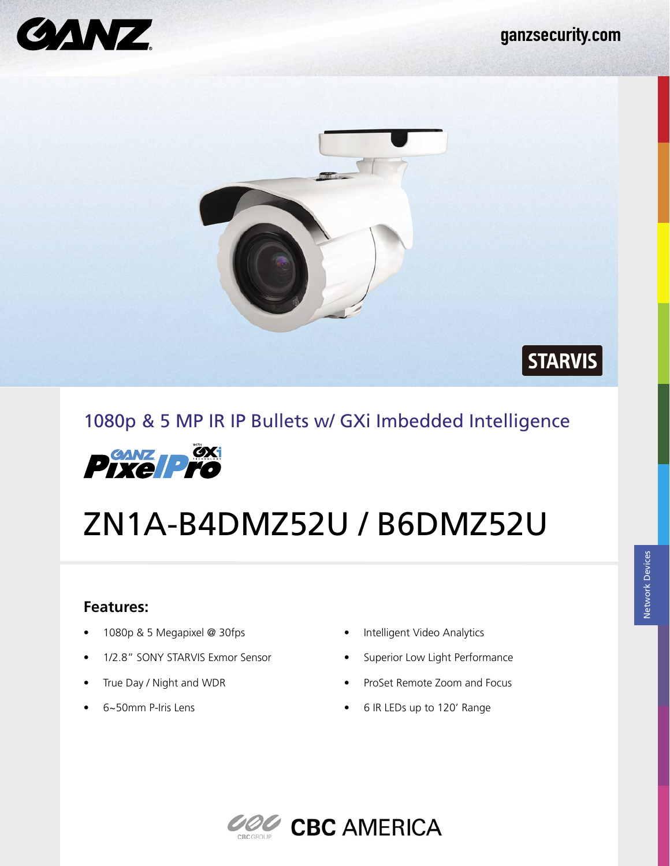

 $\vert$  STARVIS $\vert$ 



# 1080p & 5 MP IR IP Bullets w/ GXi Imbedded Intelligence



# ZN1A-B4DMZ52U / B6DMZ52U

#### **Features:**

- 1080p & 5 Megapixel @ 30fps
- 1/2.8" SONY STARVIS Exmor Sensor
- True Day / Night and WDR
- 6~50mm P-Iris Lens
- Intelligent Video Analytics
- Superior Low Light Performance
- ProSet Remote Zoom and Focus
- 6 IR LEDs up to 120' Range

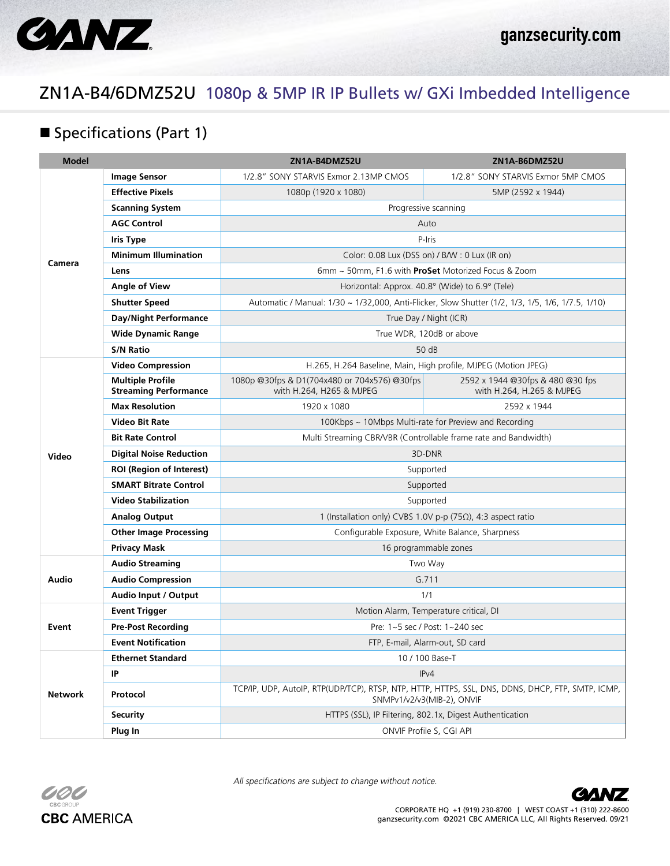

### ZN1A-B4/6DMZ52U 1080p & 5MP IR IP Bullets w/ GXi Imbedded Intelligence

#### **Specifications (Part 1)**

| <b>Model</b>   |                                                         | ZN1A-B4DMZ52U                                                                                                                   | ZN1A-B6DMZ52U                                                 |  |
|----------------|---------------------------------------------------------|---------------------------------------------------------------------------------------------------------------------------------|---------------------------------------------------------------|--|
| Camera         | <b>Image Sensor</b>                                     | 1/2.8" SONY STARVIS Exmor 2.13MP CMOS                                                                                           | 1/2.8" SONY STARVIS Exmor 5MP CMOS                            |  |
|                | <b>Effective Pixels</b>                                 | 1080p (1920 x 1080)                                                                                                             | 5MP (2592 x 1944)                                             |  |
|                | <b>Scanning System</b>                                  | Progressive scanning                                                                                                            |                                                               |  |
|                | <b>AGC Control</b>                                      | Auto                                                                                                                            |                                                               |  |
|                | <b>Iris Type</b>                                        | P-Iris                                                                                                                          |                                                               |  |
|                | <b>Minimum Illumination</b>                             | Color: 0.08 Lux (DSS on) / B/W: 0 Lux (IR on)                                                                                   |                                                               |  |
|                | Lens                                                    | 6mm ~ 50mm, F1.6 with ProSet Motorized Focus & Zoom                                                                             |                                                               |  |
|                | Angle of View                                           | Horizontal: Approx. 40.8° (Wide) to 6.9° (Tele)                                                                                 |                                                               |  |
|                | <b>Shutter Speed</b>                                    | Automatic / Manual: 1/30 ~ 1/32,000, Anti-Flicker, Slow Shutter (1/2, 1/3, 1/5, 1/6, 1/7.5, 1/10)                               |                                                               |  |
|                | <b>Day/Night Performance</b>                            | True Day / Night (ICR)                                                                                                          |                                                               |  |
|                | <b>Wide Dynamic Range</b>                               | True WDR, 120dB or above                                                                                                        |                                                               |  |
|                | <b>S/N Ratio</b>                                        | 50 dB                                                                                                                           |                                                               |  |
| Video          | <b>Video Compression</b>                                | H.265, H.264 Baseline, Main, High profile, MJPEG (Motion JPEG)                                                                  |                                                               |  |
|                | <b>Multiple Profile</b><br><b>Streaming Performance</b> | 1080p @30fps & D1(704x480 or 704x576) @30fps<br>with H.264, H265 & MJPEG                                                        | 2592 x 1944 @30fps & 480 @30 fps<br>with H.264, H.265 & MJPEG |  |
|                | <b>Max Resolution</b>                                   | 1920 x 1080                                                                                                                     | 2592 x 1944                                                   |  |
|                | <b>Video Bit Rate</b>                                   | 100Kbps ~ 10Mbps Multi-rate for Preview and Recording                                                                           |                                                               |  |
|                | <b>Bit Rate Control</b>                                 | Multi Streaming CBR/VBR (Controllable frame rate and Bandwidth)                                                                 |                                                               |  |
|                | <b>Digital Noise Reduction</b>                          | 3D-DNR                                                                                                                          |                                                               |  |
|                | <b>ROI (Region of Interest)</b>                         | Supported                                                                                                                       |                                                               |  |
|                | <b>SMART Bitrate Control</b>                            | Supported                                                                                                                       |                                                               |  |
|                | <b>Video Stabilization</b>                              | Supported                                                                                                                       |                                                               |  |
|                | <b>Analog Output</b>                                    | 1 (Installation only) CVBS 1.0V p-p (75Ω), 4:3 aspect ratio                                                                     |                                                               |  |
|                | <b>Other Image Processing</b>                           | Configurable Exposure, White Balance, Sharpness                                                                                 |                                                               |  |
|                | <b>Privacy Mask</b>                                     | 16 programmable zones                                                                                                           |                                                               |  |
| Audio          | <b>Audio Streaming</b>                                  | Two Way                                                                                                                         |                                                               |  |
|                | <b>Audio Compression</b>                                | G.711                                                                                                                           |                                                               |  |
|                | Audio Input / Output                                    | 1/1                                                                                                                             |                                                               |  |
| Event          | <b>Event Trigger</b>                                    | Motion Alarm, Temperature critical, DI                                                                                          |                                                               |  |
|                | <b>Pre-Post Recording</b>                               | Pre: 1~5 sec / Post: 1~240 sec                                                                                                  |                                                               |  |
|                | <b>Event Notification</b>                               | FTP, E-mail, Alarm-out, SD card                                                                                                 |                                                               |  |
| <b>Network</b> | <b>Ethernet Standard</b>                                | 10 / 100 Base-T                                                                                                                 |                                                               |  |
|                | IP                                                      | IPv4                                                                                                                            |                                                               |  |
|                | Protocol                                                | TCP/IP, UDP, AutoIP, RTP(UDP/TCP), RTSP, NTP, HTTP, HTTPS, SSL, DNS, DDNS, DHCP, FTP, SMTP, ICMP,<br>SNMPv1/v2/v3(MIB-2), ONVIF |                                                               |  |
|                | <b>Security</b>                                         | HTTPS (SSL), IP Filtering, 802.1x, Digest Authentication                                                                        |                                                               |  |
|                | Plug In                                                 | ONVIF Profile S, CGI API                                                                                                        |                                                               |  |



All specifications are subject to change without notice.